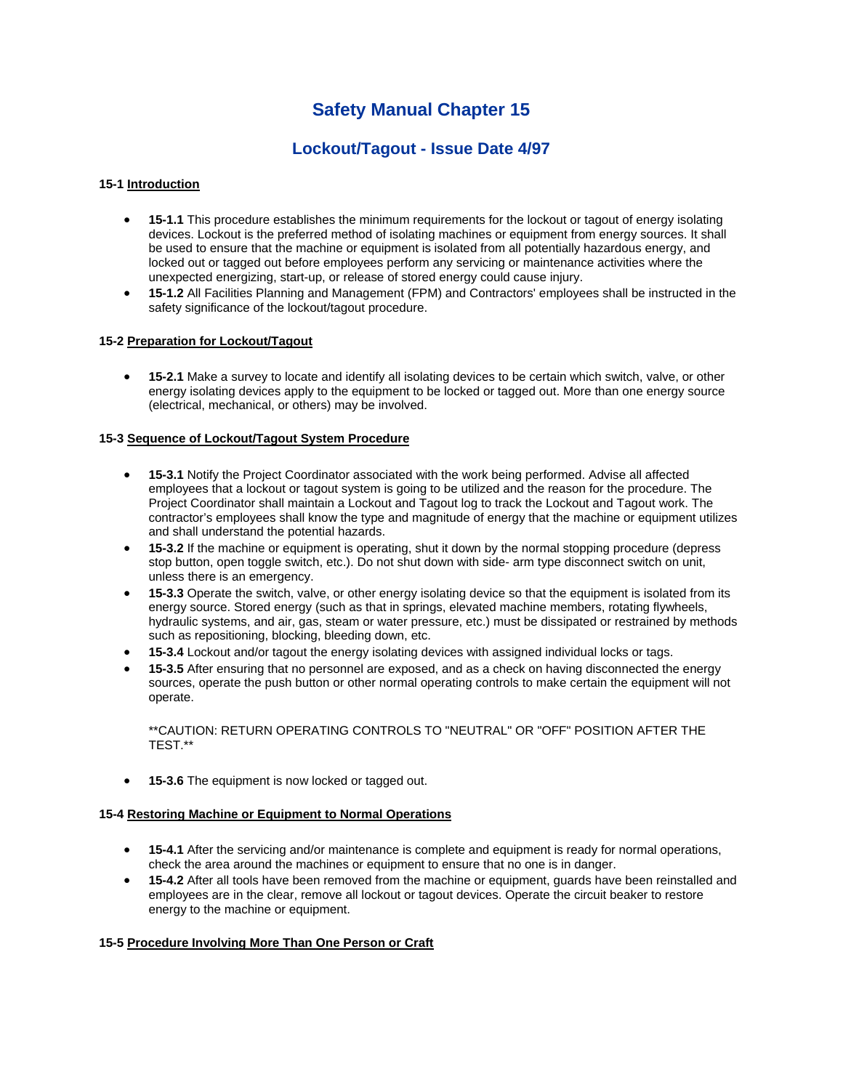# **Safety Manual Chapter 15**

# **Lockout/Tagout - Issue Date 4/97**

# **15-1 Introduction**

- **15-1.1** This procedure establishes the minimum requirements for the lockout or tagout of energy isolating devices. Lockout is the preferred method of isolating machines or equipment from energy sources. It shall be used to ensure that the machine or equipment is isolated from all potentially hazardous energy, and locked out or tagged out before employees perform any servicing or maintenance activities where the unexpected energizing, start-up, or release of stored energy could cause injury.
- **15-1.2** All Facilities Planning and Management (FPM) and Contractors' employees shall be instructed in the safety significance of the lockout/tagout procedure.

#### **15-2 Preparation for Lockout/Tagout**

 **15-2.1** Make a survey to locate and identify all isolating devices to be certain which switch, valve, or other energy isolating devices apply to the equipment to be locked or tagged out. More than one energy source (electrical, mechanical, or others) may be involved.

## **15-3 Sequence of Lockout/Tagout System Procedure**

- **15-3.1** Notify the Project Coordinator associated with the work being performed. Advise all affected employees that a lockout or tagout system is going to be utilized and the reason for the procedure. The Project Coordinator shall maintain a Lockout and Tagout log to track the Lockout and Tagout work. The contractor's employees shall know the type and magnitude of energy that the machine or equipment utilizes and shall understand the potential hazards.
- **15-3.2** If the machine or equipment is operating, shut it down by the normal stopping procedure (depress stop button, open toggle switch, etc.). Do not shut down with side- arm type disconnect switch on unit, unless there is an emergency.
- **15-3.3** Operate the switch, valve, or other energy isolating device so that the equipment is isolated from its energy source. Stored energy (such as that in springs, elevated machine members, rotating flywheels, hydraulic systems, and air, gas, steam or water pressure, etc.) must be dissipated or restrained by methods such as repositioning, blocking, bleeding down, etc.
- **15-3.4** Lockout and/or tagout the energy isolating devices with assigned individual locks or tags.
- **15-3.5** After ensuring that no personnel are exposed, and as a check on having disconnected the energy sources, operate the push button or other normal operating controls to make certain the equipment will not operate.

\*\*CAUTION: RETURN OPERATING CONTROLS TO "NEUTRAL" OR "OFF" POSITION AFTER THE TEST.\*\*

**15-3.6** The equipment is now locked or tagged out.

#### **15-4 Restoring Machine or Equipment to Normal Operations**

- **15-4.1** After the servicing and/or maintenance is complete and equipment is ready for normal operations, check the area around the machines or equipment to ensure that no one is in danger.
- **15-4.2** After all tools have been removed from the machine or equipment, guards have been reinstalled and employees are in the clear, remove all lockout or tagout devices. Operate the circuit beaker to restore energy to the machine or equipment.

#### **15-5 Procedure Involving More Than One Person or Craft**